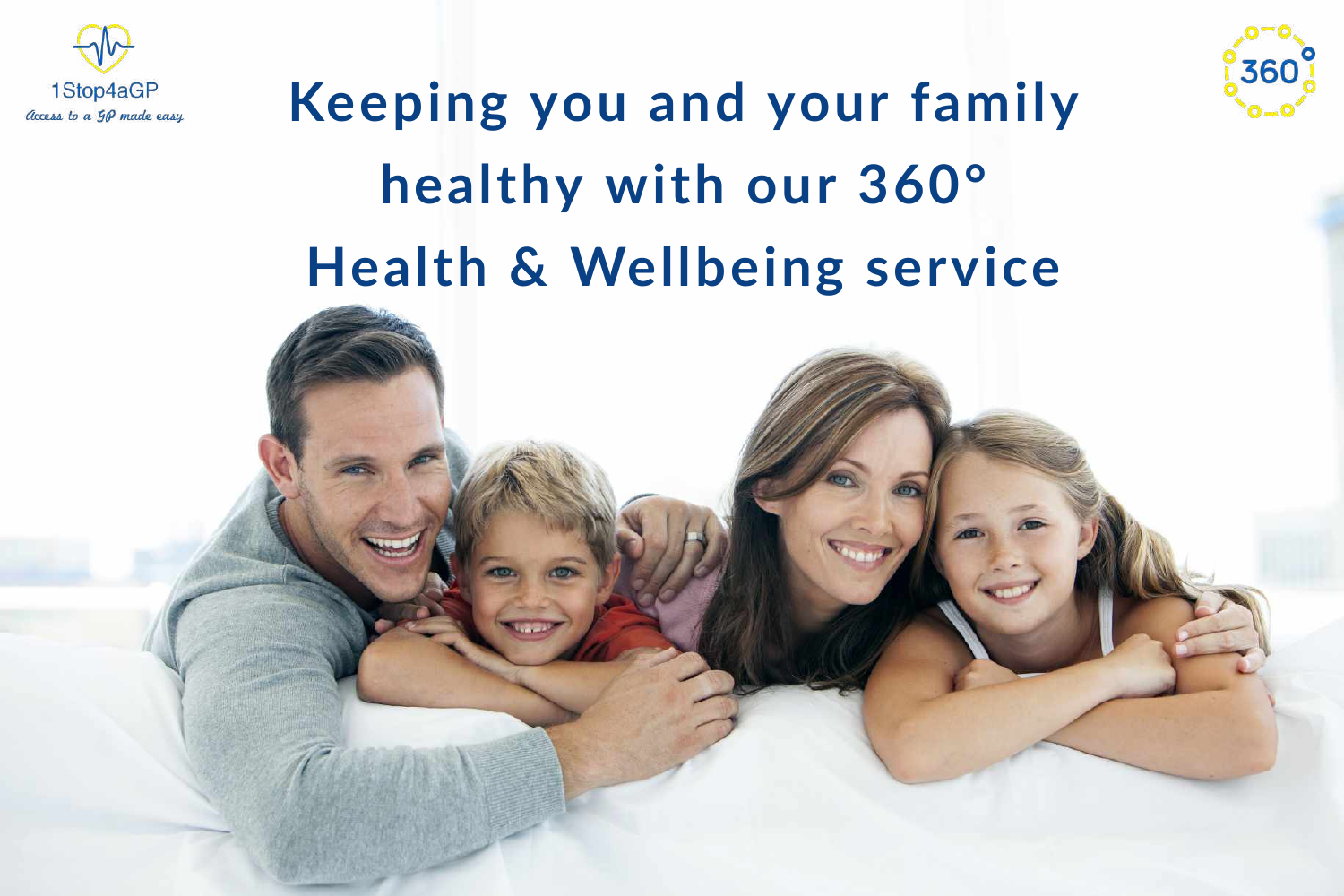

## **Keeping** you and your family **healthy with our 360° Health & Wellbeing service**





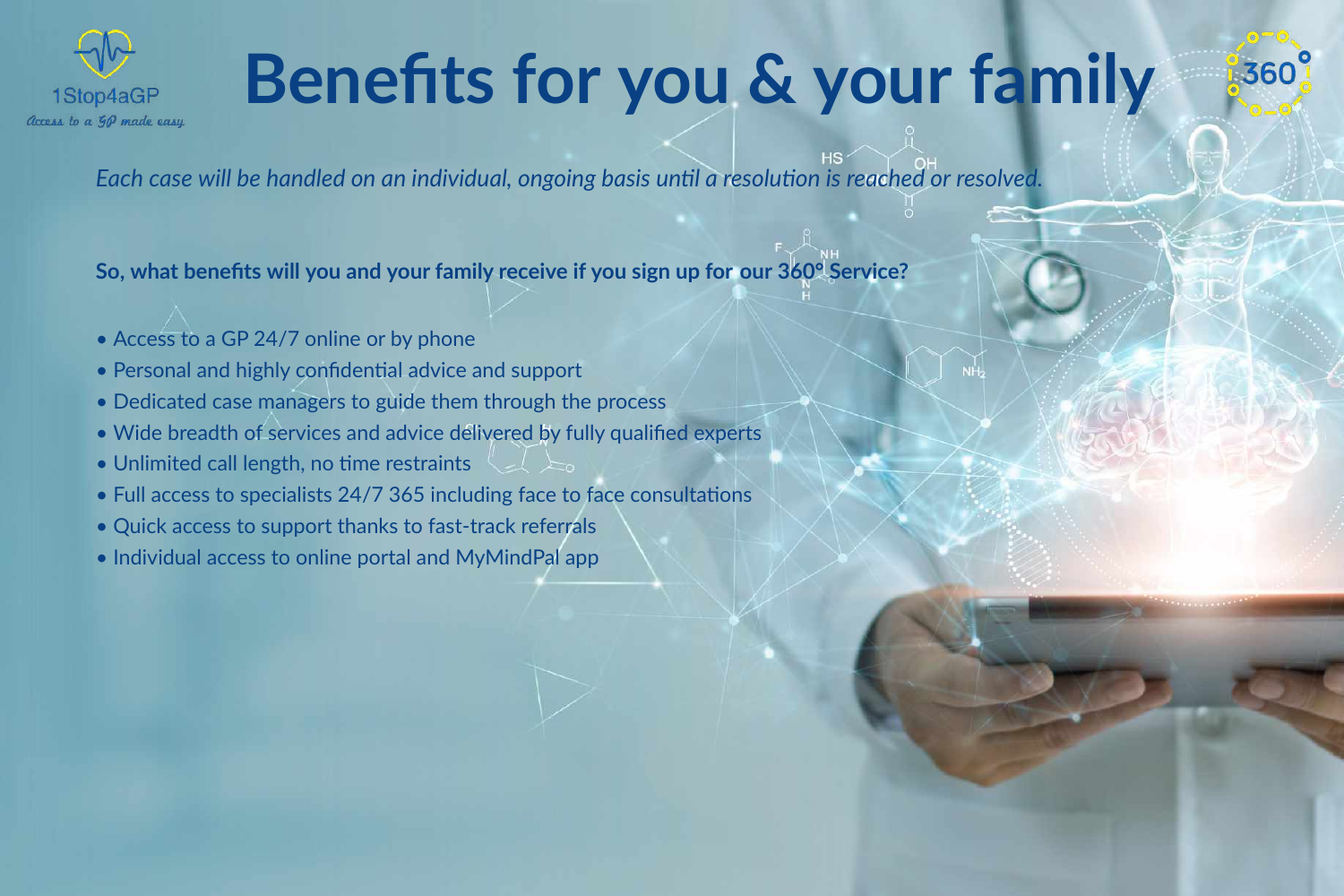

## **Benefts for you & your family**

*Each case will be handled on an individual, ongoing basis untl a resoluton is reached or resolved.*

 $\preceq\preceq$ 

**So, what benefts will you and your family receive if you sign up for our 360° Service?**

- Access to a GP 24/7 online or by phone
- Personal and highly confidential advice and support
- Dedicated case managers to guide them through the process
- Wide breadth of services and advice delivered by fully qualifed experts
- Unlimited call length, no time restraints
- Full access to specialists 24/7 365 including face to face consultations
- Quick access to support thanks to fast-track referrals
- Individual access to online portal and MyMindPal app



360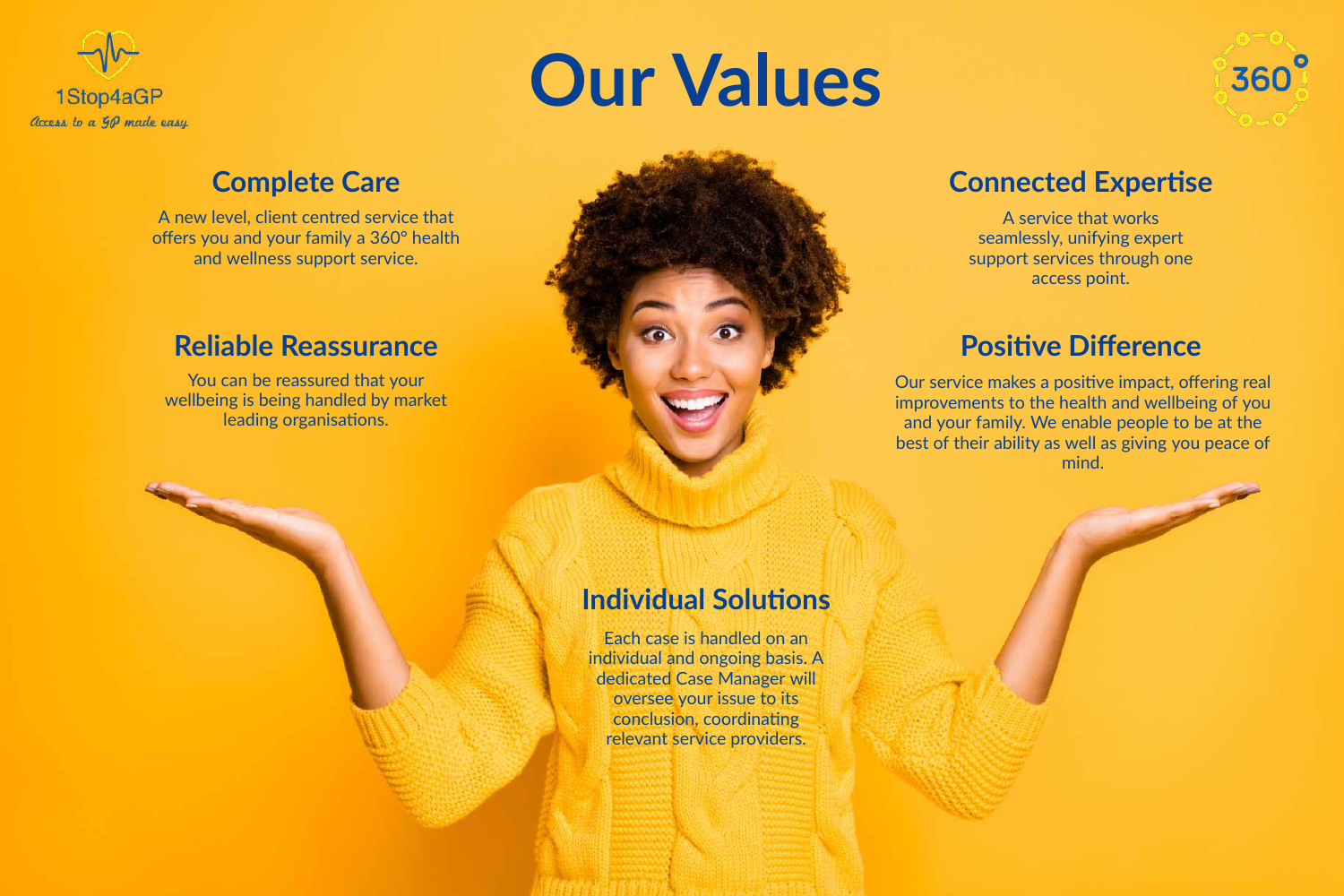

# **Our Values**

A new level, client centred service that offers you and your family a 360° health and wellness support service.

### **Complete Care**

You can be reassured that your wellbeing is being handled by market leading organisations.



### **Connected Expertse**

A service that works seamlessly, unifying expert support services through one access point.

### **Positive Difference**

### **Reliable Reassurance**

Our service makes a positive impact, offering real improvements to the health and wellbeing of you and your family. We enable people to be at the best of their ability as well as giving you peace of mind.

### **Individual Solutions**

Each case is handled on an individual and ongoing basis. A dedicated Case Manager will oversee your issue to its conclusion, coordinating relevant service providers.

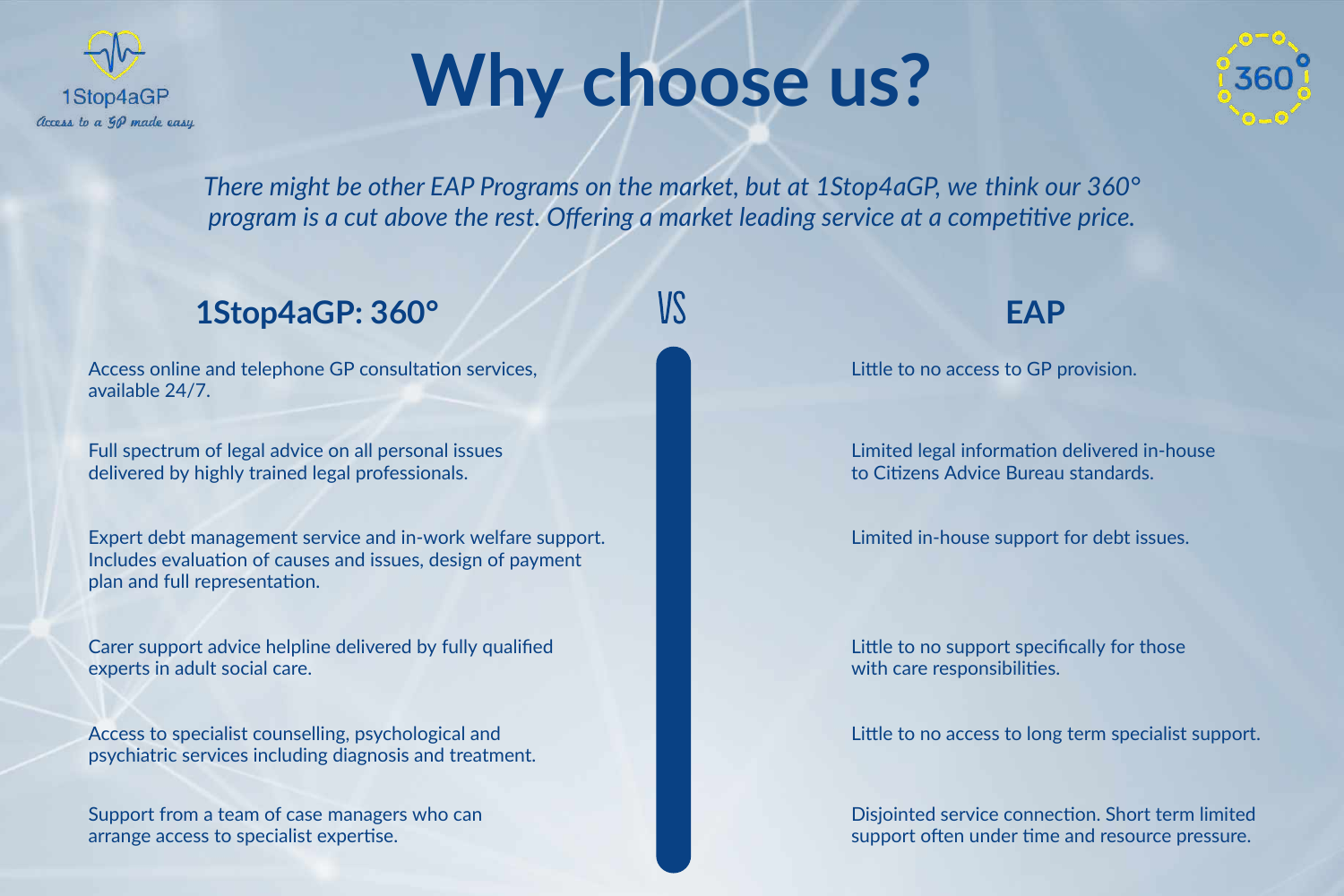

## **Why choose us?**

There might be other EAP Programs on the market, but at 1Stop4aGP, we think our 360° program is a cut above the rest. Offering a market leading service at a competitive price.

## **1Stop4aGP: 360° IS EAP**

Access online and telephone GP consultation services, available 24/7.

Full spectrum of legal advice on all personal issues delivered by highly trained legal professionals.

Expert debt management service and in-work welfare support. plan and full representation. Includes evaluation of causes and issues, design of payment

Carer support advice helpline delivered by fully qualified experts in adult social care.

Limited in-house support for debt issues.

Little to no support specifically for those with care responsibilities.

Litle to no access to GP provision.

Limited legal information delivered in-house to Citizens Advice Bureau standards.

Access to specialist counselling, psychological and psychiatric services including diagnosis and treatment.

Support from a team of case managers who can arrange access to specialist expertise.

Litle to no access to long term specialist support.

Disjointed service connection. Short term limited support often under time and resource pressure.

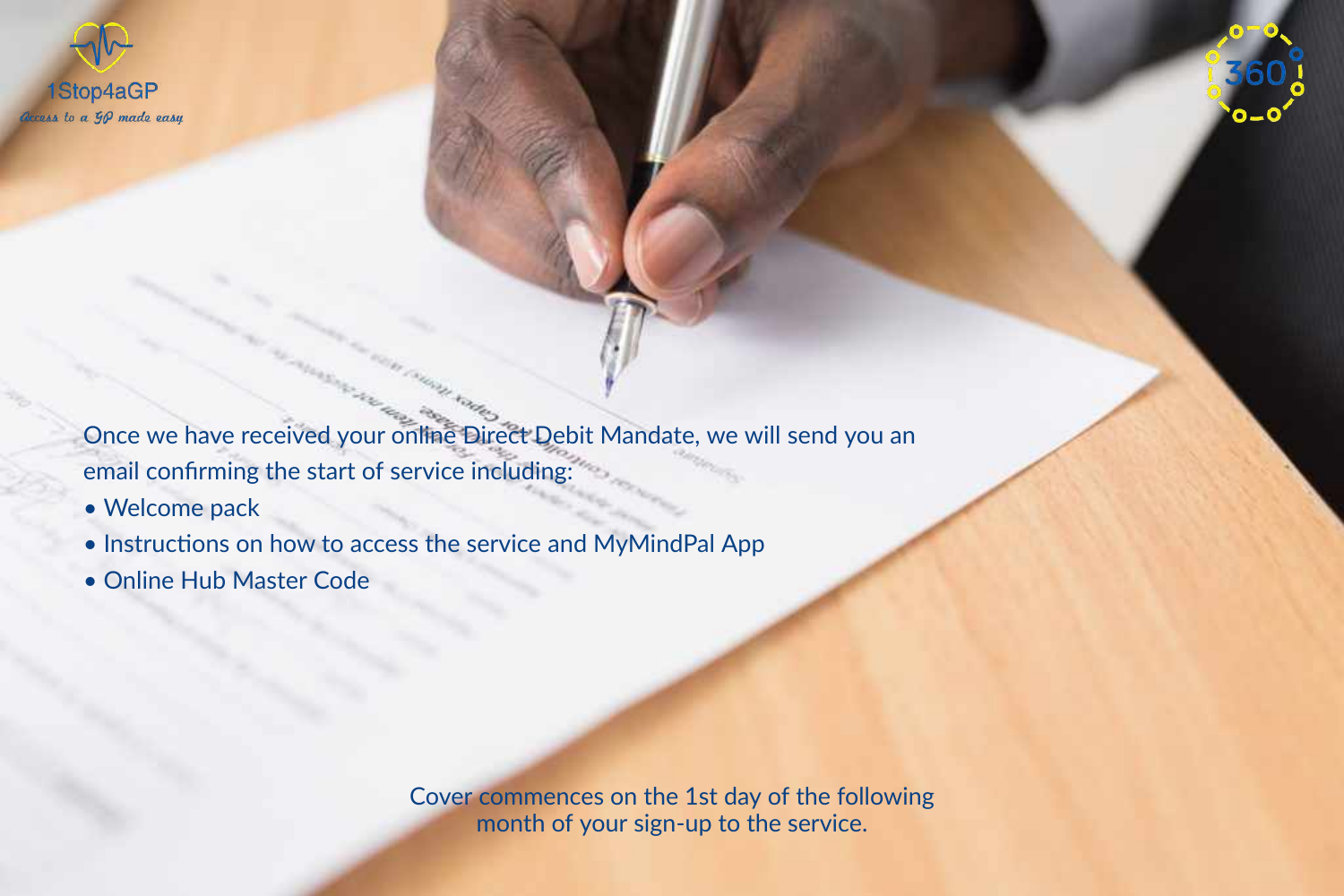

Once we have received your online Direct Debit Mandate, we will send you an email confirming the start of service including:

- Welcome pack
- Instructions on how to access the service and MyMindPal App
- Online Hub Master Code

Cover commences on the 1st day of the following month of your sign-up to the service.